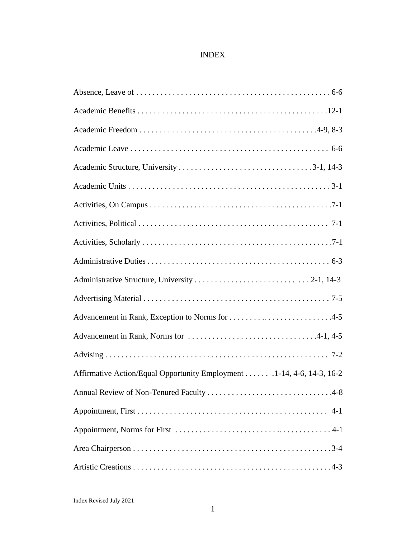## INDEX

| Advancement in Rank, Exception to Norms for 4-5                       |
|-----------------------------------------------------------------------|
|                                                                       |
|                                                                       |
| Affirmative Action/Equal Opportunity Employment 1-14, 4-6, 14-3, 16-2 |
|                                                                       |
|                                                                       |
|                                                                       |
|                                                                       |
|                                                                       |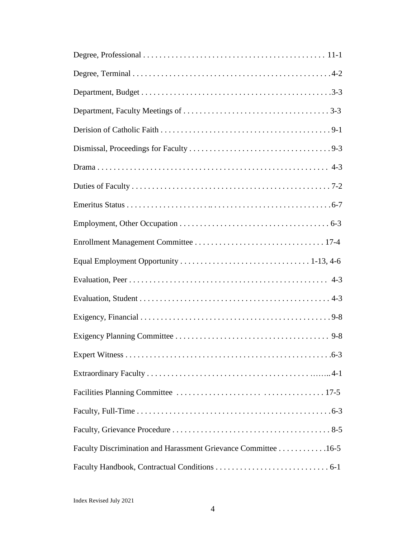| Faculty Discrimination and Harassment Grievance Committee 16-5 |
|----------------------------------------------------------------|
|                                                                |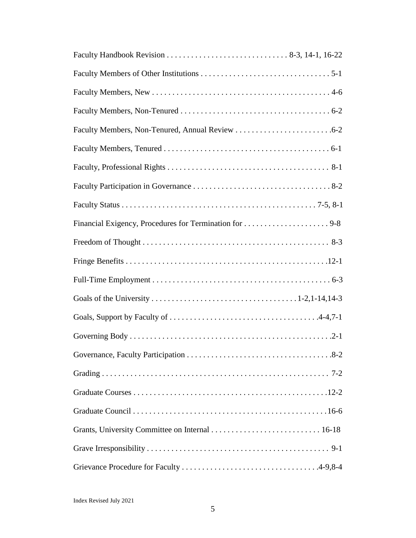| Financial Exigency, Procedures for Termination for 9-8 |  |
|--------------------------------------------------------|--|
|                                                        |  |
|                                                        |  |
|                                                        |  |
|                                                        |  |
|                                                        |  |
|                                                        |  |
|                                                        |  |
|                                                        |  |
|                                                        |  |
|                                                        |  |
|                                                        |  |
|                                                        |  |
|                                                        |  |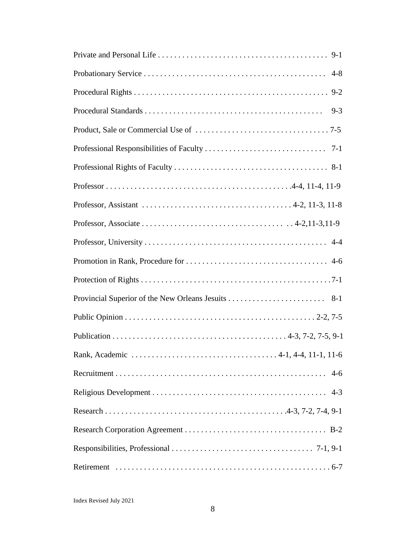| $9 - 3$ |
|---------|
|         |
|         |
|         |
|         |
|         |
|         |
|         |
|         |
|         |
|         |
|         |
|         |
|         |
|         |
|         |
|         |
|         |
|         |
|         |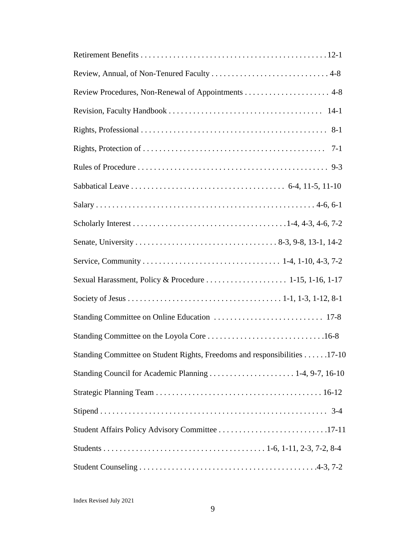| $7-1$                                                                     |
|---------------------------------------------------------------------------|
|                                                                           |
|                                                                           |
|                                                                           |
|                                                                           |
|                                                                           |
|                                                                           |
| Sexual Harassment, Policy & Procedure  1-15, 1-16, 1-17                   |
|                                                                           |
|                                                                           |
|                                                                           |
| Standing Committee on Student Rights, Freedoms and responsibilities 17-10 |
|                                                                           |
|                                                                           |
|                                                                           |
|                                                                           |
|                                                                           |
|                                                                           |